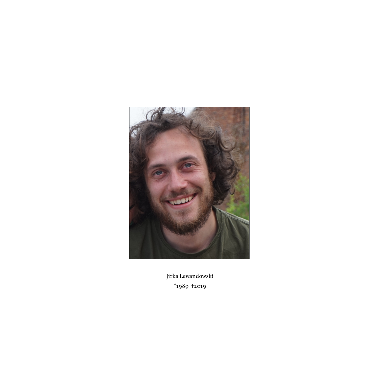

Jirka Lewandowski  $*$ 1989  $*$ 2019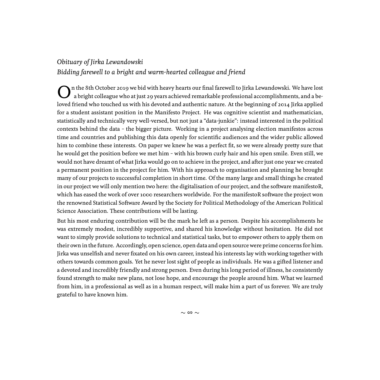## *Obituary of Jirka Lewandowski*

*Bidding farewell to a bright and warm-hearted colleague and friend*

O n the 8th October 2019 we bid with heavy hearts our final farewell to Jirka Lewandowski. We have lost a bright colleague who at just 29 years achieved remarkable professional accomplishments, and a beloved friend who touched us with his devoted and authentic nature. At the beginning of 2014 Jirka applied for a student assistant position in the Manifesto Project. He was cognitive scientist and mathematician, statistically and technically very well-versed, but not just a "data-junkie": instead interested in the political contexts behind the data – the bigger picture. Working in a project analysing election manifestos across time and countries and publishing this data openly for scientific audiences and the wider public allowed him to combine these interests. On paper we knew he was a perfect fit, so we were already pretty sure that he would get the position before we met him – with his brown curly hair and his open smile. Even still, we would not have dreamt of what Jirka would go on to achieve in the project, and after just one year we created a permanent position in the project for him. With his approach to organisation and planning he brought many of our projects to successful completion in short time. Of the many large and small things he created in our project we will only mention two here: the digitalisation of our project, and the software manifestoR, which has eased the work of over 1000 researchers worldwide. For the manifestoR software the project won the renowned Statistical Software Award by the Society for Political Methodology of the American Political Science Association. These contributions will be lasting.

But his most enduring contribution will be the mark he left as a person. Despite his accomplishments he was extremely modest, incredibly supportive, and shared his knowledge without hesitation. He did not want to simply provide solutions to technical and statistical tasks, but to empower others to apply them on their own in the future. Accordingly, open science, open data and open source were prime concerns for him. Jirka was unselfish and never fixated on his own career, instead his interests lay with working together with others towards common goals. Yet he never lost sight of people as individuals. He was a gifted listener and a devoted and incredibly friendly and strong person. Even during his long period of illness, he consistently found strength to make new plans, not lose hope, and encourage the people around him. What we learned from him, in a professional as well as in a human respect, will make him a part of us forever. We are truly grateful to have known him.

 $∼$  ∞  $~∼$